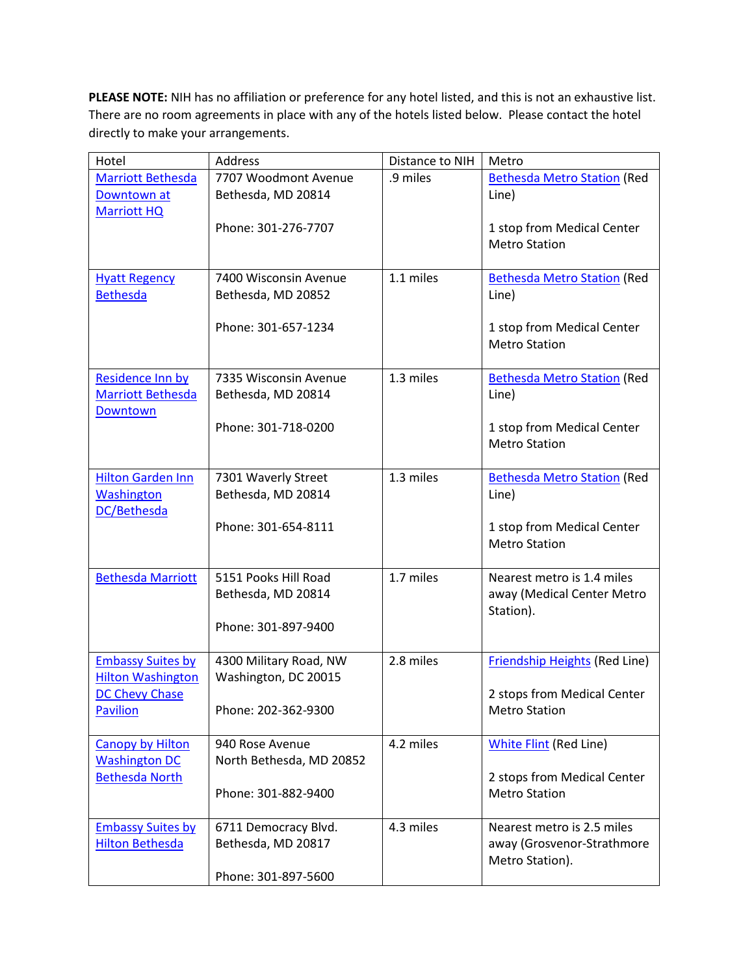**PLEASE NOTE:** NIH has no affiliation or preference for any hotel listed, and this is not an exhaustive list. There are no room agreements in place with any of the hotels listed below. Please contact the hotel directly to make your arrangements.

| Hotel                    | <b>Address</b>           | Distance to NIH | Metro                                |
|--------------------------|--------------------------|-----------------|--------------------------------------|
| <b>Marriott Bethesda</b> | 7707 Woodmont Avenue     | .9 miles        | <b>Bethesda Metro Station (Red</b>   |
| Downtown at              | Bethesda, MD 20814       |                 | Line)                                |
| <b>Marriott HQ</b>       |                          |                 |                                      |
|                          | Phone: 301-276-7707      |                 | 1 stop from Medical Center           |
|                          |                          |                 | <b>Metro Station</b>                 |
|                          |                          |                 |                                      |
| <b>Hyatt Regency</b>     | 7400 Wisconsin Avenue    | 1.1 miles       | <b>Bethesda Metro Station (Red</b>   |
| <b>Bethesda</b>          | Bethesda, MD 20852       |                 | Line)                                |
|                          |                          |                 |                                      |
|                          | Phone: 301-657-1234      |                 | 1 stop from Medical Center           |
|                          |                          |                 | <b>Metro Station</b>                 |
|                          |                          |                 |                                      |
| Residence Inn by         | 7335 Wisconsin Avenue    | 1.3 miles       | <b>Bethesda Metro Station (Red</b>   |
| <b>Marriott Bethesda</b> | Bethesda, MD 20814       |                 | Line)                                |
| <b>Downtown</b>          |                          |                 |                                      |
|                          | Phone: 301-718-0200      |                 | 1 stop from Medical Center           |
|                          |                          |                 | <b>Metro Station</b>                 |
|                          |                          |                 |                                      |
| <b>Hilton Garden Inn</b> | 7301 Waverly Street      | 1.3 miles       | <b>Bethesda Metro Station (Red</b>   |
| <b>Washington</b>        | Bethesda, MD 20814       |                 | Line)                                |
| DC/Bethesda              |                          |                 |                                      |
|                          | Phone: 301-654-8111      |                 | 1 stop from Medical Center           |
|                          |                          |                 | <b>Metro Station</b>                 |
|                          |                          |                 |                                      |
| <b>Bethesda Marriott</b> | 5151 Pooks Hill Road     | 1.7 miles       | Nearest metro is 1.4 miles           |
|                          | Bethesda, MD 20814       |                 | away (Medical Center Metro           |
|                          | Phone: 301-897-9400      |                 | Station).                            |
|                          |                          |                 |                                      |
| <b>Embassy Suites by</b> | 4300 Military Road, NW   | 2.8 miles       | <b>Friendship Heights (Red Line)</b> |
| <b>Hilton Washington</b> | Washington, DC 20015     |                 |                                      |
| <b>DC Chevy Chase</b>    |                          |                 | 2 stops from Medical Center          |
| <b>Pavilion</b>          | Phone: 202-362-9300      |                 | <b>Metro Station</b>                 |
|                          |                          |                 |                                      |
| <b>Canopy by Hilton</b>  | 940 Rose Avenue          | 4.2 miles       | White Flint (Red Line)               |
| <b>Washington DC</b>     | North Bethesda, MD 20852 |                 |                                      |
| <b>Bethesda North</b>    |                          |                 | 2 stops from Medical Center          |
|                          | Phone: 301-882-9400      |                 | <b>Metro Station</b>                 |
|                          |                          |                 |                                      |
| <b>Embassy Suites by</b> | 6711 Democracy Blvd.     | 4.3 miles       | Nearest metro is 2.5 miles           |
| <b>Hilton Bethesda</b>   | Bethesda, MD 20817       |                 | away (Grosvenor-Strathmore           |
|                          |                          |                 | Metro Station).                      |
|                          | Phone: 301-897-5600      |                 |                                      |